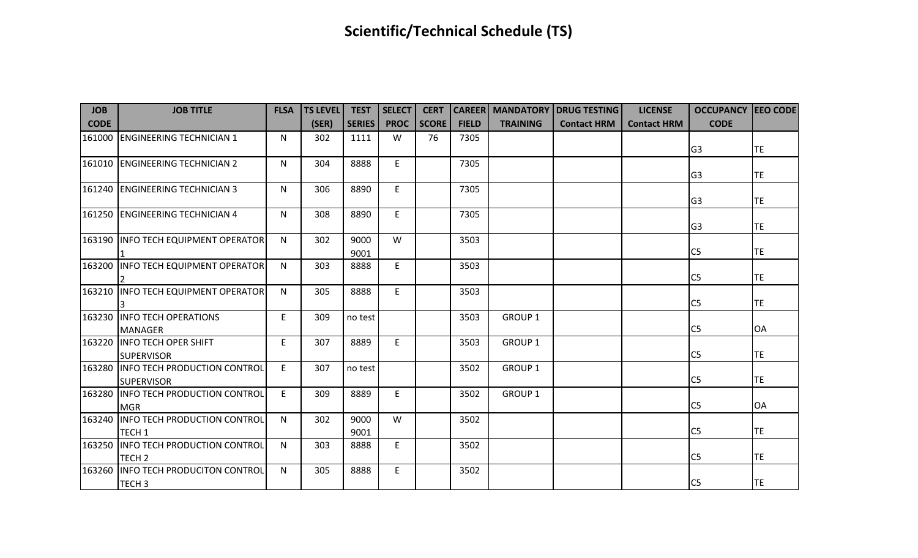| <b>JOB</b><br><b>CODE</b> | <b>JOB TITLE</b>                                          | <b>FLSA</b>  | <b>TS LEVEL</b><br>(SER) | <b>TEST</b><br><b>SERIES</b> | <b>SELECT</b><br><b>PROC</b> | <b>CERT</b>  | <b>FIELD</b> |                    | <b>CAREER   MANDATORY   DRUG TESTING</b> | <b>LICENSE</b>     | <b>OCCUPANCY EEO CODE</b><br><b>CODE</b> |             |
|---------------------------|-----------------------------------------------------------|--------------|--------------------------|------------------------------|------------------------------|--------------|--------------|--------------------|------------------------------------------|--------------------|------------------------------------------|-------------|
|                           |                                                           |              |                          |                              |                              | <b>SCORE</b> |              | <b>TRAINING</b>    | <b>Contact HRM</b>                       | <b>Contact HRM</b> |                                          |             |
|                           | 161000 ENGINEERING TECHNICIAN 1                           | $\mathsf{N}$ | 302                      | 1111                         | W                            | 76           | 7305         |                    |                                          |                    | G <sub>3</sub>                           | <b>TE</b>   |
|                           | 161010 ENGINEERING TECHNICIAN 2                           | N            | 304                      | 8888                         | E                            |              | 7305         |                    |                                          |                    | G <sub>3</sub>                           | <b>I</b> TE |
|                           | 161240 ENGINEERING TECHNICIAN 3                           | N            | 306                      | 8890                         | E                            |              | 7305         |                    |                                          |                    | G <sub>3</sub>                           | ITE.        |
|                           | 161250 ENGINEERING TECHNICIAN 4                           | N            | 308                      | 8890                         | E                            |              | 7305         |                    |                                          |                    | G <sub>3</sub>                           | <b>TE</b>   |
|                           | 163190 INFO TECH EQUIPMENT OPERATOR                       | N            | 302                      | 9000<br>9001                 | W                            |              | 3503         |                    |                                          |                    | C <sub>5</sub>                           | <b>TE</b>   |
|                           | 163200 INFO TECH EQUIPMENT OPERATOR                       | N.           | 303                      | 8888                         | E                            |              | 3503         |                    |                                          |                    | C <sub>5</sub>                           | <b>TE</b>   |
|                           | 163210 INFO TECH EQUIPMENT OPERATOR                       | N            | 305                      | 8888                         | E                            |              | 3503         |                    |                                          |                    | C <sub>5</sub>                           | <b>TE</b>   |
|                           | 163230 INFO TECH OPERATIONS<br><b>MANAGER</b>             | E            | 309                      | no test                      |                              |              | 3503         | GROUP <sub>1</sub> |                                          |                    | C <sub>5</sub>                           | <b>OA</b>   |
|                           | 163220 INFO TECH OPER SHIFT<br><b>SUPERVISOR</b>          | E.           | 307                      | 8889                         | E                            |              | 3503         | <b>GROUP 1</b>     |                                          |                    | C <sub>5</sub>                           | lte.        |
|                           | 163280 INFO TECH PRODUCTION CONTROL<br><b>SUPERVISOR</b>  | E.           | 307                      | no test                      |                              |              | 3502         | <b>GROUP 1</b>     |                                          |                    | C <sub>5</sub>                           | <b>TE</b>   |
|                           | 163280 INFO TECH PRODUCTION CONTROL<br><b>MGR</b>         | E            | 309                      | 8889                         | E                            |              | 3502         | <b>GROUP 1</b>     |                                          |                    | C <sub>5</sub>                           | <b>OA</b>   |
|                           | 163240 INFO TECH PRODUCTION CONTROL<br>TECH <sub>1</sub>  | N            | 302                      | 9000<br>9001                 | W                            |              | 3502         |                    |                                          |                    | C <sub>5</sub>                           | <b>TE</b>   |
|                           | 163250 IINFO TECH PRODUCTION CONTROL<br>TECH <sub>2</sub> | N            | 303                      | 8888                         | E                            |              | 3502         |                    |                                          |                    | C <sub>5</sub>                           | <b>TE</b>   |
|                           | 163260 INFO TECH PRODUCITON CONTROL<br>TECH <sub>3</sub>  | N.           | 305                      | 8888                         | E                            |              | 3502         |                    |                                          |                    | C <sub>5</sub>                           | <b>TE</b>   |